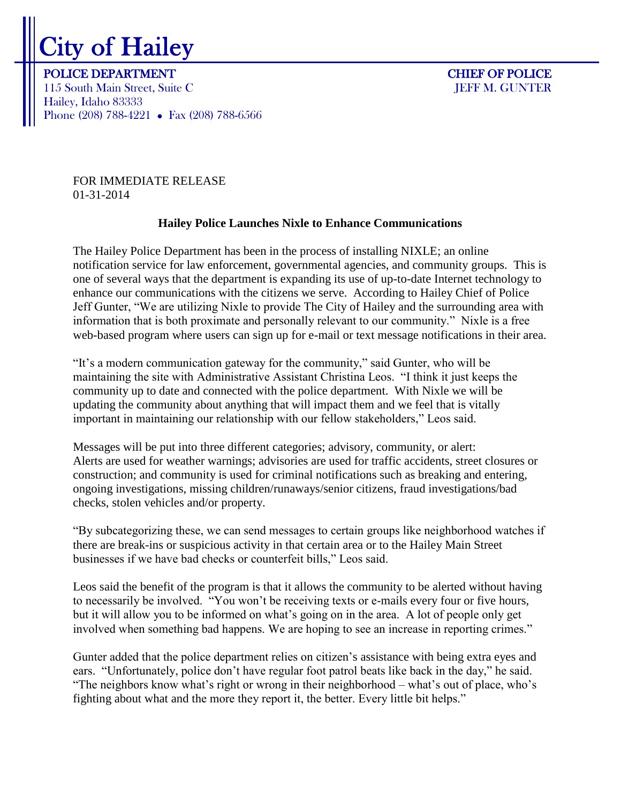## City of Hailey

POLICE DEPARTMENT CHIEF OF POLICE 115 South Main Street, Suite C JEFF M. GUNTER Hailey, Idaho 83333 Phone (208) 788-4221 • Fax (208) 788-6566

FOR IMMEDIATE RELEASE 01-31-2014

## **Hailey Police Launches Nixle to Enhance Communications**

The Hailey Police Department has been in the process of installing NIXLE; an online notification service for law enforcement, governmental agencies, and community groups. This is one of several ways that the department is expanding its use of up-to-date Internet technology to enhance our communications with the citizens we serve. According to Hailey Chief of Police Jeff Gunter, "We are utilizing Nixle to provide The City of Hailey and the surrounding area with information that is both proximate and personally relevant to our community." Nixle is a free web-based program where users can sign up for e-mail or text message notifications in their area.

"It's a modern communication gateway for the community," said Gunter, who will be maintaining the site with Administrative Assistant Christina Leos. "I think it just keeps the community up to date and connected with the police department. With Nixle we will be updating the community about anything that will impact them and we feel that is vitally important in maintaining our relationship with our fellow stakeholders," Leos said.

Messages will be put into three different categories; advisory, community, or alert: Alerts are used for weather warnings; advisories are used for traffic accidents, street closures or construction; and community is used for criminal notifications such as breaking and entering, ongoing investigations, missing children/runaways/senior citizens, fraud investigations/bad checks, stolen vehicles and/or property.

"By subcategorizing these, we can send messages to certain groups like neighborhood watches if there are break-ins or suspicious activity in that certain area or to the Hailey Main Street businesses if we have bad checks or counterfeit bills," Leos said.

Leos said the benefit of the program is that it allows the community to be alerted without having to necessarily be involved. "You won't be receiving texts or e-mails every four or five hours, but it will allow you to be informed on what's going on in the area. A lot of people only get involved when something bad happens. We are hoping to see an increase in reporting crimes."

Gunter added that the police department relies on citizen's assistance with being extra eyes and ears. "Unfortunately, police don't have regular foot patrol beats like back in the day," he said. "The neighbors know what's right or wrong in their neighborhood – what's out of place, who's fighting about what and the more they report it, the better. Every little bit helps."